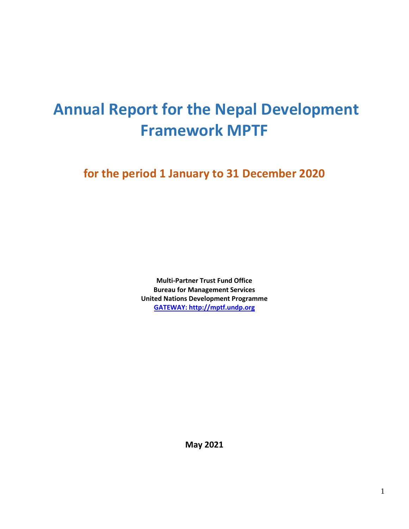# **Annual Report for the Nepal Development Framework MPTF**

**for the period 1 January to 31 December 2020**

**Multi-Partner Trust Fund Office Bureau for Management Services United Nations Development Programme [GATEWAY: http://mptf.undp.org](http://mptf.undp.org/)**

**May 2021**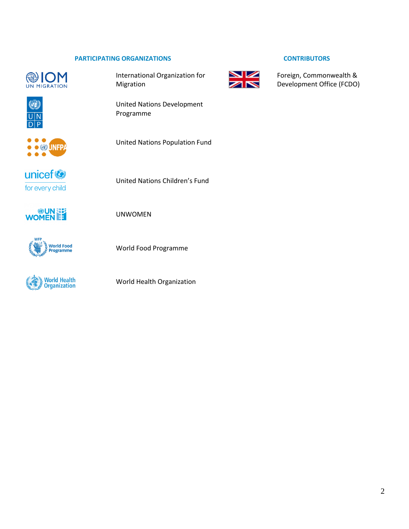#### **PARTICIPATING ORGANIZATIONS CONTRIBUTORS**







International Organization for Migration

United Nations Development Programme

United Nations Population Fund



United Nations Children's Fund







World Food Programme

UNWOMEN

World Health Organization





Foreign, Commonwealth & Development Office (FCDO)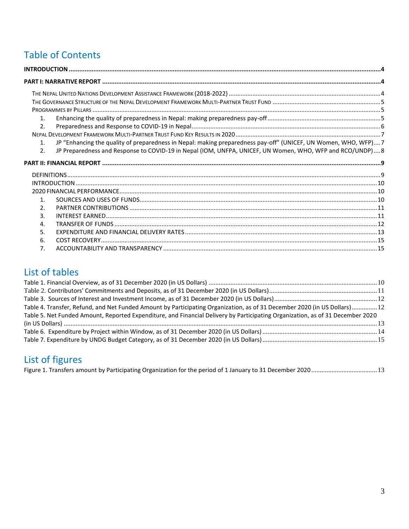# Table of Contents

| 1 <sub>1</sub>   |                                                                                                                |  |
|------------------|----------------------------------------------------------------------------------------------------------------|--|
| 2.               |                                                                                                                |  |
|                  |                                                                                                                |  |
| $\mathbf{1}$ .   | JP "Enhancing the quality of preparedness in Nepal: making preparedness pay-off" (UNICEF, UN Women, WHO, WFP)7 |  |
| 2.               | JP Preparedness and Response to COVID-19 in Nepal (IOM, UNFPA, UNICEF, UN Women, WHO, WFP and RCO/UNDP) 8      |  |
|                  |                                                                                                                |  |
|                  |                                                                                                                |  |
|                  |                                                                                                                |  |
|                  |                                                                                                                |  |
|                  |                                                                                                                |  |
| $\mathbf{1}$     |                                                                                                                |  |
| 2.               |                                                                                                                |  |
| $\overline{3}$ . |                                                                                                                |  |
| $\mathbf{A}$     |                                                                                                                |  |
| 5.               |                                                                                                                |  |
| 6.               |                                                                                                                |  |

## List of tables

| Table 4. Transfer, Refund, and Net Funded Amount by Participating Organization, as of 31 December 2020 (in US Dollars) 12      |  |
|--------------------------------------------------------------------------------------------------------------------------------|--|
| Table 5. Net Funded Amount, Reported Expenditure, and Financial Delivery by Participating Organization, as of 31 December 2020 |  |
|                                                                                                                                |  |
|                                                                                                                                |  |
|                                                                                                                                |  |

# List of figures

|--|--|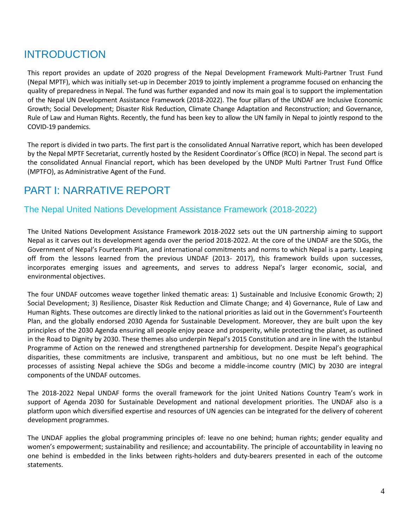## <span id="page-3-0"></span>INTRODUCTION

This report provides an update of 2020 progress of the Nepal Development Framework Multi-Partner Trust Fund (Nepal MPTF), which was initially set-up in December 2019 to jointly implement a programme focused on enhancing the quality of preparedness in Nepal. The fund was further expanded and now its main goal is to support the implementation of the Nepal UN Development Assistance Framework (2018-2022). The four pillars of the UNDAF are Inclusive Economic Growth; Social Development; Disaster Risk Reduction, Climate Change Adaptation and Reconstruction; and Governance, Rule of Law and Human Rights. Recently, the fund has been key to allow the UN family in Nepal to jointly respond to the COVID-19 pandemics.

The report is divided in two parts. The first part is the consolidated Annual Narrative report, which has been developed by the Nepal MPTF Secretariat, currently hosted by the Resident Coordinator´s Office (RCO) in Nepal. The second part is the consolidated Annual Financial report, which has been developed by the UNDP Multi Partner Trust Fund Office (MPTFO), as Administrative Agent of the Fund.

## <span id="page-3-1"></span>PART I: NARRATIVE REPORT

## <span id="page-3-2"></span>The Nepal United Nations Development Assistance Framework (2018-2022)

The United Nations Development Assistance Framework 2018-2022 sets out the UN partnership aiming to support Nepal as it carves out its development agenda over the period 2018-2022. At the core of the UNDAF are the SDGs, the Government of Nepal's Fourteenth Plan, and international commitments and norms to which Nepal is a party. Leaping off from the lessons learned from the previous UNDAF (2013- 2017), this framework builds upon successes, incorporates emerging issues and agreements, and serves to address Nepal's larger economic, social, and environmental objectives.

The four UNDAF outcomes weave together linked thematic areas: 1) Sustainable and Inclusive Economic Growth; 2) Social Development; 3) Resilience, Disaster Risk Reduction and Climate Change; and 4) Governance, Rule of Law and Human Rights. These outcomes are directly linked to the national priorities as laid out in the Government's Fourteenth Plan, and the globally endorsed 2030 Agenda for Sustainable Development. Moreover, they are built upon the key principles of the 2030 Agenda ensuring all people enjoy peace and prosperity, while protecting the planet, as outlined in the Road to Dignity by 2030. These themes also underpin Nepal's 2015 Constitution and are in line with the Istanbul Programme of Action on the renewed and strengthened partnership for development. Despite Nepal's geographical disparities, these commitments are inclusive, transparent and ambitious, but no one must be left behind. The processes of assisting Nepal achieve the SDGs and become a middle-income country (MIC) by 2030 are integral components of the UNDAF outcomes.

The 2018-2022 Nepal UNDAF forms the overall framework for the joint United Nations Country Team's work in support of Agenda 2030 for Sustainable Development and national development priorities. The UNDAF also is a platform upon which diversified expertise and resources of UN agencies can be integrated for the delivery of coherent development programmes.

The UNDAF applies the global programming principles of: leave no one behind; human rights; gender equality and women's empowerment; sustainability and resilience; and accountability. The principle of accountability in leaving no one behind is embedded in the links between rights-holders and duty-bearers presented in each of the outcome statements.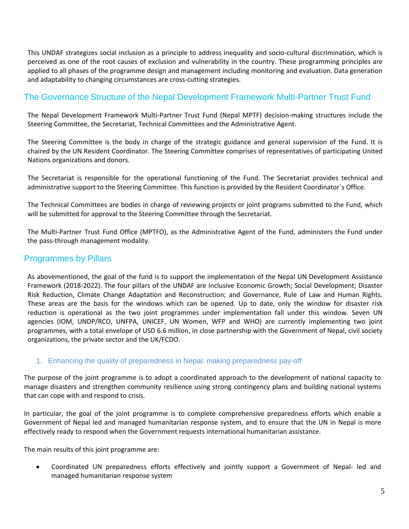This UNDAF strategizes social inclusion as a principle to address inequality and socio-cultural discrimination, which is perceived as one of the root causes of exclusion and vulnerability in the country. These programming principles are applied to all phases of the programme design and management including monitoring and evaluation. Data generation and adaptability to changing circumstances are cross-cutting strategies.

## <span id="page-4-0"></span>The Governance Structure of the Nepal Development Framework Multi-Partner Trust Fund

The Nepal Development Framework Multi-Partner Trust Fund (Nepal MPTF) decision-making structures include the Steering Committee, the Secretariat, Technical Committees and the Administrative Agent.

The Steering Committee is the body in charge of the strategic guidance and general supervision of the Fund. It is chaired by the UN Resident Coordinator. The Steering Committee comprises of representatives of participating United Nations organizations and donors.

The Secretariat is responsible for the operational functioning of the Fund. The Secretariat provides technical and administrative support to the Steering Committee. This function is provided by the Resident Coordinator´s Office.

The Technical Committees are bodies in charge of reviewing projects or joint programs submitted to the Fund, which will be submitted for approval to the Steering Committee through the Secretariat.

The Multi-Partner Trust Fund Office (MPTFO), as the Administrative Agent of the Fund, administers the Fund under the pass-through management modality.

## <span id="page-4-1"></span>Programmes by Pillars

As abovementioned, the goal of the fund is to support the implementation of the Nepal UN Development Assistance Framework (2018-2022). The four pillars of the UNDAF are Inclusive Economic Growth; Social Development; Disaster Risk Reduction, Climate Change Adaptation and Reconstruction; and Governance, Rule of Law and Human Rights. These areas are the basis for the windows which can be opened. Up to date, only the window for disaster risk reduction is operational as the two joint programmes under implementation fall under this window. Seven UN agencies (IOM, UNDP/RCO, UNFPA, UNICEF, UN Women, WFP and WHO) are currently implementing two joint programmes, with a total envelope of USD 6.6 million, in close partnership with the Government of Nepal, civil society organizations, the private sector and the UK/FCDO.

### <span id="page-4-2"></span>1. Enhancing the quality of preparedness in Nepal: making preparedness pay-off

The purpose of the joint programme is to adopt a coordinated approach to the development of national capacity to manage disasters and strengthen community resilience using strong contingency plans and building national systems that can cope with and respond to crisis.

In particular, the goal of the joint programme is to complete comprehensive preparedness efforts which enable a Government of Nepal led and managed humanitarian response system, and to ensure that the UN in Nepal is more effectively ready to respond when the Government requests international humanitarian assistance.

The main results of this joint programme are:

• Coordinated UN preparedness efforts effectively and jointly support a Government of Nepal- led and managed humanitarian response system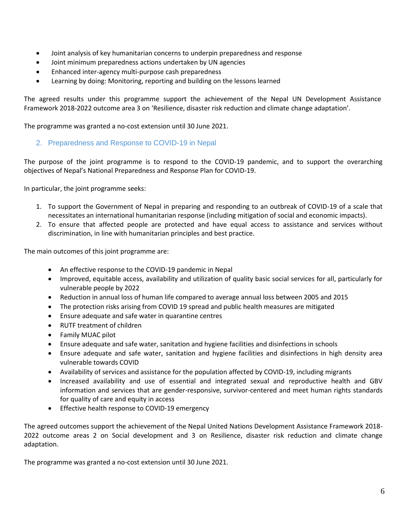- Joint analysis of key humanitarian concerns to underpin preparedness and response
- Joint minimum preparedness actions undertaken by UN agencies
- Enhanced inter-agency multi-purpose cash preparedness
- Learning by doing: Monitoring, reporting and building on the lessons learned

The agreed results under this programme support the achievement of the Nepal UN Development Assistance Framework 2018-2022 outcome area 3 on 'Resilience, disaster risk reduction and climate change adaptation'.

<span id="page-5-0"></span>The programme was granted a no-cost extension until 30 June 2021.

#### 2. Preparedness and Response to COVID-19 in Nepal

The purpose of the joint programme is to respond to the COVID-19 pandemic, and to support the overarching objectives of Nepal's National Preparedness and Response Plan for COVID-19.

In particular, the joint programme seeks:

- 1. To support the Government of Nepal in preparing and responding to an outbreak of COVID-19 of a scale that necessitates an international humanitarian response (including mitigation of social and economic impacts).
- 2. To ensure that affected people are protected and have equal access to assistance and services without discrimination, in line with humanitarian principles and best practice.

The main outcomes of this joint programme are:

- An effective response to the COVID-19 pandemic in Nepal
- Improved, equitable access, availability and utilization of quality basic social services for all, particularly for vulnerable people by 2022
- Reduction in annual loss of human life compared to average annual loss between 2005 and 2015
- The protection risks arising from COVID 19 spread and public health measures are mitigated
- Ensure adequate and safe water in quarantine centres
- RUTF treatment of children
- Family MUAC pilot
- Ensure adequate and safe water, sanitation and hygiene facilities and disinfections in schools
- Ensure adequate and safe water, sanitation and hygiene facilities and disinfections in high density area vulnerable towards COVID
- Availability of services and assistance for the population affected by COVID-19, including migrants
- Increased availability and use of essential and integrated sexual and reproductive health and GBV information and services that are gender-responsive, survivor-centered and meet human rights standards for quality of care and equity in access
- Effective health response to COVID-19 emergency

The agreed outcomes support the achievement of the Nepal United Nations Development Assistance Framework 2018- 2022 outcome areas 2 on Social development and 3 on Resilience, disaster risk reduction and climate change adaptation.

The programme was granted a no-cost extension until 30 June 2021.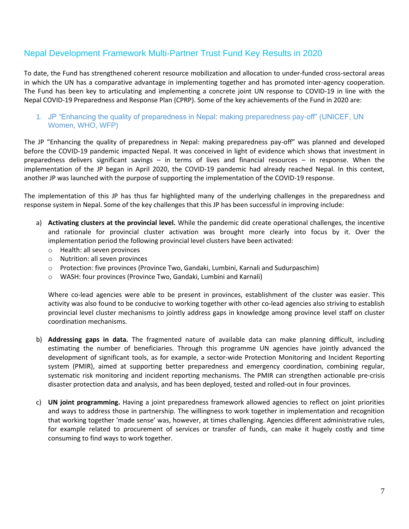## <span id="page-6-0"></span>Nepal Development Framework Multi-Partner Trust Fund Key Results in 2020

To date, the Fund has strengthened coherent resource mobilization and allocation to under-funded cross-sectoral areas in which the UN has a comparative advantage in implementing together and has promoted inter-agency cooperation. The Fund has been key to articulating and implementing a concrete joint UN response to COVID-19 in line with the Nepal COVID-19 Preparedness and Response Plan (CPRP). Some of the key achievements of the Fund in 2020 are:

#### <span id="page-6-1"></span>1. JP "Enhancing the quality of preparedness in Nepal: making preparedness pay-off" (UNICEF, UN Women, WHO, WFP)

The JP "Enhancing the quality of preparedness in Nepal: making preparedness pay-off" was planned and developed before the COVID-19 pandemic impacted Nepal. It was conceived in light of evidence which shows that investment in preparedness delivers significant savings – in terms of lives and financial resources – in response. When the implementation of the JP began in April 2020, the COVID-19 pandemic had already reached Nepal. In this context, another JP was launched with the purpose of supporting the implementation of the COVID-19 response.

The implementation of this JP has thus far highlighted many of the underlying challenges in the preparedness and response system in Nepal. Some of the key challenges that this JP has been successful in improving include:

- a) **Activating clusters at the provincial level.** While the pandemic did create operational challenges, the incentive and rationale for provincial cluster activation was brought more clearly into focus by it. Over the implementation period the following provincial level clusters have been activated:
	- o Health: all seven provinces
	- o Nutrition: all seven provinces
	- o Protection: five provinces (Province Two, Gandaki, Lumbini, Karnali and Sudurpaschim)
	- o WASH: four provinces (Province Two, Gandaki, Lumbini and Karnali)

Where co-lead agencies were able to be present in provinces, establishment of the cluster was easier. This activity was also found to be conducive to working together with other co-lead agencies also striving to establish provincial level cluster mechanisms to jointly address gaps in knowledge among province level staff on cluster coordination mechanisms.

- b) **Addressing gaps in data.** The fragmented nature of available data can make planning difficult, including estimating the number of beneficiaries. Through this programme UN agencies have jointly advanced the development of significant tools, as for example, a sector-wide Protection Monitoring and Incident Reporting system (PMIR), aimed at supporting better preparedness and emergency coordination, combining regular, systematic risk monitoring and incident reporting mechanisms. The PMIR can strengthen actionable pre-crisis disaster protection data and analysis, and has been deployed, tested and rolled-out in four provinces.
- c) **UN joint programming.** Having a joint preparedness framework allowed agencies to reflect on joint priorities and ways to address those in partnership. The willingness to work together in implementation and recognition that working together 'made sense' was, however, at times challenging. Agencies different administrative rules, for example related to procurement of services or transfer of funds, can make it hugely costly and time consuming to find ways to work together.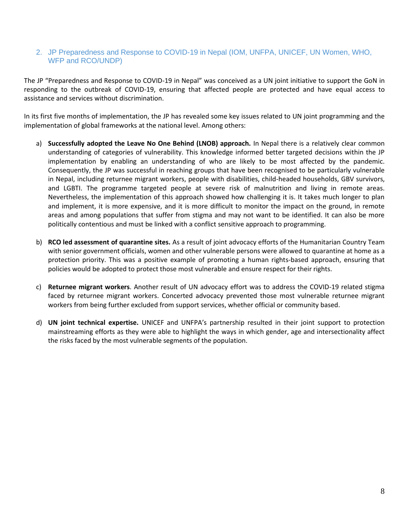#### <span id="page-7-0"></span>2. JP Preparedness and Response to COVID-19 in Nepal (IOM, UNFPA, UNICEF, UN Women, WHO, WFP and RCO/UNDP)

The JP "Preparedness and Response to COVID-19 in Nepal" was conceived as a UN joint initiative to support the GoN in responding to the outbreak of COVID-19, ensuring that affected people are protected and have equal access to assistance and services without discrimination.

In its first five months of implementation, the JP has revealed some key issues related to UN joint programming and the implementation of global frameworks at the national level. Among others:

- a) **Successfully adopted the Leave No One Behind (LNOB) approach.** In Nepal there is a relatively clear common understanding of categories of vulnerability. This knowledge informed better targeted decisions within the JP implementation by enabling an understanding of who are likely to be most affected by the pandemic. Consequently, the JP was successful in reaching groups that have been recognised to be particularly vulnerable in Nepal, including returnee migrant workers, people with disabilities, child-headed households, GBV survivors, and LGBTI. The programme targeted people at severe risk of malnutrition and living in remote areas. Nevertheless, the implementation of this approach showed how challenging it is. It takes much longer to plan and implement, it is more expensive, and it is more difficult to monitor the impact on the ground, in remote areas and among populations that suffer from stigma and may not want to be identified. It can also be more politically contentious and must be linked with a conflict sensitive approach to programming.
- b) **RCO led assessment of quarantine sites.** As a result of joint advocacy efforts of the Humanitarian Country Team with senior government officials, women and other vulnerable persons were allowed to quarantine at home as a protection priority. This was a positive example of promoting a human rights-based approach, ensuring that policies would be adopted to protect those most vulnerable and ensure respect for their rights.
- c) **Returnee migrant workers**. Another result of UN advocacy effort was to address the COVID-19 related stigma faced by returnee migrant workers. Concerted advocacy prevented those most vulnerable returnee migrant workers from being further excluded from support services, whether official or community based.
- d) **UN joint technical expertise.** UNICEF and UNFPA's partnership resulted in their joint support to protection mainstreaming efforts as they were able to highlight the ways in which gender, age and intersectionality affect the risks faced by the most vulnerable segments of the population.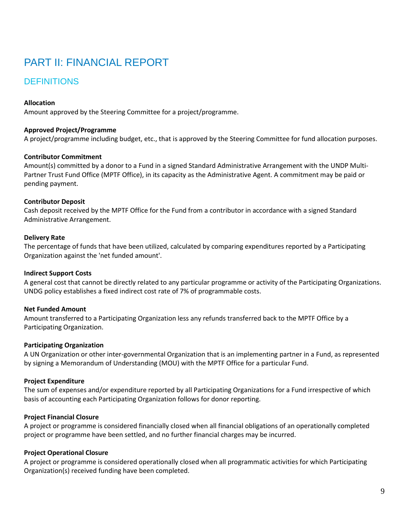# <span id="page-8-0"></span>PART II: FINANCIAL REPORT

## <span id="page-8-1"></span>**DEFINITIONS**

#### **Allocation**

Amount approved by the Steering Committee for a project/programme.

#### **Approved Project/Programme**

A project/programme including budget, etc., that is approved by the Steering Committee for fund allocation purposes.

#### **Contributor Commitment**

Amount(s) committed by a donor to a Fund in a signed Standard Administrative Arrangement with the UNDP Multi-Partner Trust Fund Office (MPTF Office), in its capacity as the Administrative Agent. A commitment may be paid or pending payment.

#### **Contributor Deposit**

Cash deposit received by the MPTF Office for the Fund from a contributor in accordance with a signed Standard Administrative Arrangement.

#### **Delivery Rate**

The percentage of funds that have been utilized, calculated by comparing expenditures reported by a Participating Organization against the 'net funded amount'.

#### **Indirect Support Costs**

A general cost that cannot be directly related to any particular programme or activity of the Participating Organizations. UNDG policy establishes a fixed indirect cost rate of 7% of programmable costs.

#### **Net Funded Amount**

Amount transferred to a Participating Organization less any refunds transferred back to the MPTF Office by a Participating Organization.

#### **Participating Organization**

A UN Organization or other inter-governmental Organization that is an implementing partner in a Fund, as represented by signing a Memorandum of Understanding (MOU) with the MPTF Office for a particular Fund.

#### **Project Expenditure**

The sum of expenses and/or expenditure reported by all Participating Organizations for a Fund irrespective of which basis of accounting each Participating Organization follows for donor reporting.

#### **Project Financial Closure**

A project or programme is considered financially closed when all financial obligations of an operationally completed project or programme have been settled, and no further financial charges may be incurred.

#### **Project Operational Closure**

A project or programme is considered operationally closed when all programmatic activities for which Participating Organization(s) received funding have been completed.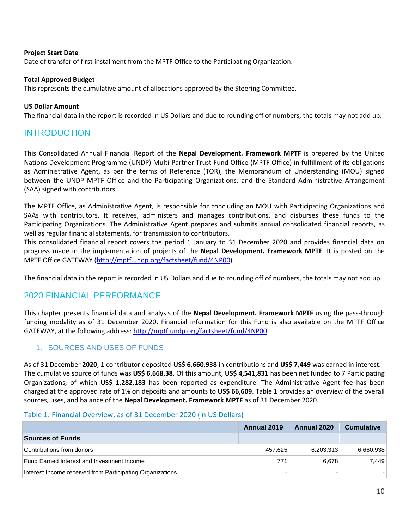#### **Project Start Date**

Date of transfer of first instalment from the MPTF Office to the Participating Organization.

#### **Total Approved Budget**

This represents the cumulative amount of allocations approved by the Steering Committee.

#### **US Dollar Amount**

<span id="page-9-0"></span>The financial data in the report is recorded in US Dollars and due to rounding off of numbers, the totals may not add up.

## INTRODUCTION

This Consolidated Annual Financial Report of the **Nepal Development. Framework MPTF** is prepared by the United Nations Development Programme (UNDP) Multi-Partner Trust Fund Office (MPTF Office) in fulfillment of its obligations as Administrative Agent, as per the terms of Reference (TOR), the Memorandum of Understanding (MOU) signed between the UNDP MPTF Office and the Participating Organizations, and the Standard Administrative Arrangement (SAA) signed with contributors.

The MPTF Office, as Administrative Agent, is responsible for concluding an MOU with Participating Organizations and SAAs with contributors. It receives, administers and manages contributions, and disburses these funds to the Participating Organizations. The Administrative Agent prepares and submits annual consolidated financial reports, as well as regular financial statements, for transmission to contributors.

This consolidated financial report covers the period 1 January to 31 December 2020 and provides financial data on progress made in the implementation of projects of the **Nepal Development. Framework MPTF**. It is posted on the MPTF Office GATEWAY [\(http://mptf.undp.org/factsheet/fund/4NP00\)](http://mptf.undp.org/factsheet/fund/4NP00).

<span id="page-9-1"></span>The financial data in the report is recorded in US Dollars and due to rounding off of numbers, the totals may not add up.

### 2020 FINANCIAL PERFORMANCE

This chapter presents financial data and analysis of the **Nepal Development. Framework MPTF** using the pass-through funding modality as of 31 December 2020. Financial information for this Fund is also available on the MPTF Office GATEWAY, at the following address: [http://mptf.undp.org/factsheet/fund/4NP00.](http://mptf.undp.org/factsheet/fund/4NP00)

#### <span id="page-9-2"></span>1. SOURCES AND USES OF FUNDS

As of 31 December **2020**, 1 contributor deposited **US\$ 6,660,938** in contributions and **US\$ 7,449** was earned in interest. The cumulative source of funds was **US\$ 6,668,38**. Of this amount, **US\$ 4,541,831** has been net funded to 7 Participating Organizations, of which **US\$ 1,282,183** has been reported as expenditure. The Administrative Agent fee has been charged at the approved rate of 1% on deposits and amounts to **US\$ 66,609**. Table 1 provides an overview of the overall sources, uses, and balance of the **Nepal Development. Framework MPTF** as of 31 December 2020.

#### <span id="page-9-3"></span>Table 1. Financial Overview, as of 31 December 2020 (in US Dollars)

|                                                           | Annual 2019 | Annual 2020              | <b>Cumulative</b> |
|-----------------------------------------------------------|-------------|--------------------------|-------------------|
| <b>Sources of Funds</b>                                   |             |                          |                   |
| Contributions from donors                                 | 457,625     | 6,203,313                | 6,660,938         |
| Fund Earned Interest and Investment Income                | 771         | 6.678                    | 7.449             |
| Interest Income received from Participating Organizations |             | $\overline{\phantom{0}}$ |                   |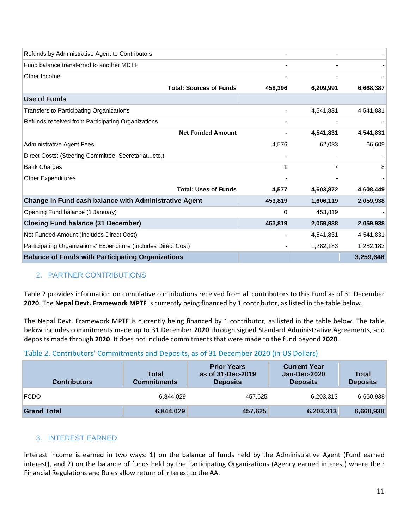| Refunds by Administrative Agent to Contributors                 |          |           |           |
|-----------------------------------------------------------------|----------|-----------|-----------|
| Fund balance transferred to another MDTF                        |          |           |           |
| Other Income                                                    |          |           |           |
| <b>Total: Sources of Funds</b>                                  | 458,396  | 6,209,991 | 6,668,387 |
| Use of Funds                                                    |          |           |           |
| Transfers to Participating Organizations                        |          | 4,541,831 | 4,541,831 |
| Refunds received from Participating Organizations               |          |           |           |
| <b>Net Funded Amount</b>                                        |          | 4,541,831 | 4,541,831 |
| <b>Administrative Agent Fees</b>                                | 4,576    | 62,033    | 66,609    |
| Direct Costs: (Steering Committee, Secretariatetc.)             |          |           |           |
| <b>Bank Charges</b>                                             |          | 7         |           |
| <b>Other Expenditures</b>                                       |          |           |           |
| <b>Total: Uses of Funds</b>                                     | 4,577    | 4,603,872 | 4,608,449 |
| Change in Fund cash balance with Administrative Agent           | 453,819  | 1,606,119 | 2,059,938 |
| Opening Fund balance (1 January)                                | $\Omega$ | 453,819   |           |
| <b>Closing Fund balance (31 December)</b>                       | 453,819  | 2,059,938 | 2,059,938 |
| Net Funded Amount (Includes Direct Cost)                        |          | 4,541,831 | 4,541,831 |
| Participating Organizations' Expenditure (Includes Direct Cost) |          | 1,282,183 | 1,282,183 |
| <b>Balance of Funds with Participating Organizations</b>        |          |           | 3,259,648 |

## <span id="page-10-0"></span>2. PARTNER CONTRIBUTIONS

Table 2 provides information on cumulative contributions received from all contributors to this Fund as of 31 December **2020**. The **Nepal Devt. Framework MPTF** is currently being financed by 1 contributor, as listed in the table below.

The Nepal Devt. Framework MPTF is currently being financed by 1 contributor, as listed in the table below. The table below includes commitments made up to 31 December **2020** through signed Standard Administrative Agreements, and deposits made through **2020**. It does not include commitments that were made to the fund beyond **2020**.

#### <span id="page-10-2"></span>Table 2. Contributors' Commitments and Deposits, as of 31 December 2020 (in US Dollars)

| <b>Contributors</b> | <b>Total</b><br><b>Commitments</b> | <b>Prior Years</b><br>as of 31-Dec-2019<br><b>Deposits</b> | <b>Current Year</b><br>Jan-Dec-2020<br><b>Deposits</b> | Total<br><b>Deposits</b> |
|---------------------|------------------------------------|------------------------------------------------------------|--------------------------------------------------------|--------------------------|
| <b>FCDO</b>         | 6,844,029                          | 457,625                                                    | 6,203,313                                              | 6,660,938                |
| <b>Grand Total</b>  | 6,844,029                          | 457,625                                                    | 6,203,313                                              | 6,660,938                |

#### <span id="page-10-1"></span>3. INTEREST EARNED

Interest income is earned in two ways: 1) on the balance of funds held by the Administrative Agent (Fund earned interest), and 2) on the balance of funds held by the Participating Organizations (Agency earned interest) where their Financial Regulations and Rules allow return of interest to the AA.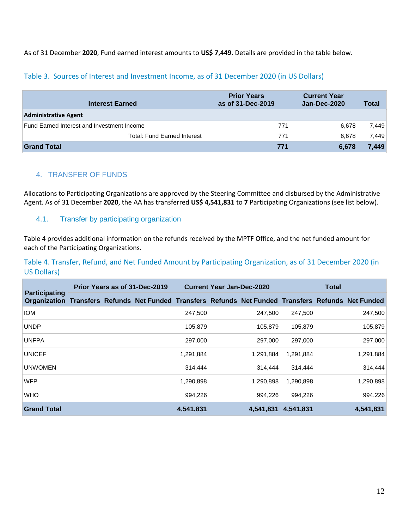As of 31 December **2020**, Fund earned interest amounts to **US\$ 7,449**. Details are provided in the table below.

#### <span id="page-11-1"></span>Table 3. Sources of Interest and Investment Income, as of 31 December 2020 (in US Dollars)

| <b>Interest Earned</b>                     | <b>Prior Years</b><br>as of 31-Dec-2019 | <b>Current Year</b><br>Jan-Dec-2020 | <b>Total</b> |
|--------------------------------------------|-----------------------------------------|-------------------------------------|--------------|
| <b>Administrative Agent</b>                |                                         |                                     |              |
| Fund Earned Interest and Investment Income | 771                                     | 6.678                               | 7,449        |
| <b>Total: Fund Earned Interest</b>         | 771                                     | 6.678                               | 7.449        |
| <b>Grand Total</b>                         | 771                                     | 6,678                               | 7.449        |

#### <span id="page-11-0"></span>4. TRANSFER OF FUNDS

Allocations to Participating Organizations are approved by the Steering Committee and disbursed by the Administrative Agent. As of 31 December **2020**, the AA has transferred **US\$ 4,541,831** to **7** Participating Organizations (see list below).

#### 4.1. Transfer by participating organization

Table 4 provides additional information on the refunds received by the MPTF Office, and the net funded amount for each of the Participating Organizations.

<span id="page-11-2"></span>Table 4. Transfer, Refund, and Net Funded Amount by Participating Organization, as of 31 December 2020 (in US Dollars)

| <b>Participating</b>                                                                                |  | Prior Years as of 31-Dec-2019 |           | <b>Current Year Jan-Dec-2020</b> |           | <b>Total</b> |           |
|-----------------------------------------------------------------------------------------------------|--|-------------------------------|-----------|----------------------------------|-----------|--------------|-----------|
| Organization Transfers Refunds Net Funded Transfers Refunds Net Funded Transfers Refunds Net Funded |  |                               |           |                                  |           |              |           |
| <b>IOM</b>                                                                                          |  |                               | 247,500   | 247.500                          | 247.500   |              | 247,500   |
| <b>UNDP</b>                                                                                         |  |                               | 105,879   | 105,879                          | 105,879   |              | 105,879   |
| <b>UNFPA</b>                                                                                        |  |                               | 297,000   | 297,000                          | 297,000   |              | 297,000   |
| <b>UNICEF</b>                                                                                       |  |                               | 1,291,884 | 1,291,884                        | 1,291,884 |              | 1,291,884 |
| <b>UNWOMEN</b>                                                                                      |  |                               | 314,444   | 314,444                          | 314,444   |              | 314,444   |
| <b>WFP</b>                                                                                          |  |                               | 1,290,898 | 1,290,898                        | 1,290,898 |              | 1,290,898 |
| <b>WHO</b>                                                                                          |  |                               | 994,226   | 994.226                          | 994,226   |              | 994,226   |
| <b>Grand Total</b>                                                                                  |  |                               | 4,541,831 | 4.541.831                        | 4.541.831 |              | 4,541,831 |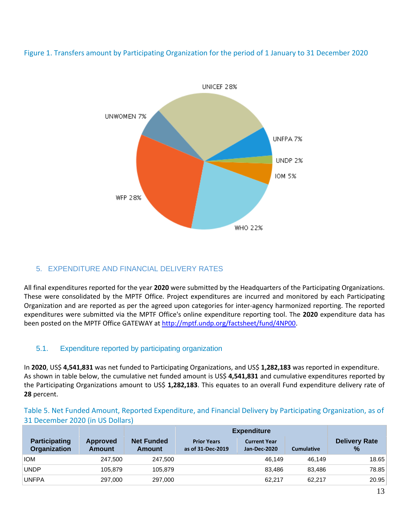

<span id="page-12-2"></span>Figure 1. Transfers amount by Participating Organization for the period of 1 January to 31 December 2020

## <span id="page-12-0"></span>5. EXPENDITURE AND FINANCIAL DELIVERY RATES

All final expenditures reported for the year **2020** were submitted by the Headquarters of the Participating Organizations. These were consolidated by the MPTF Office. Project expenditures are incurred and monitored by each Participating Organization and are reported as per the agreed upon categories for inter-agency harmonized reporting. The reported expenditures were submitted via the MPTF Office's online expenditure reporting tool. The **2020** expenditure data has been posted on the MPTF Office GATEWAY a[t http://mptf.undp.org/factsheet/fund/4NP00.](http://mptf.undp.org/factsheet/fund/4NP00)

### 5.1. Expenditure reported by participating organization

In **2020**, US\$ **4,541,831** was net funded to Participating Organizations, and US\$ **1,282,183** was reported in expenditure. As shown in table below, the cumulative net funded amount is US\$ **4,541,831** and cumulative expenditures reported by the Participating Organizations amount to US\$ **1,282,183**. This equates to an overall Fund expenditure delivery rate of **28** percent.

#### <span id="page-12-1"></span>Table 5. Net Funded Amount, Reported Expenditure, and Financial Delivery by Participating Organization, as of 31 December 2020 (in US Dollars)

|                                             |                           |                             | <b>Expenditure</b>                      |                                     |                   |                              |
|---------------------------------------------|---------------------------|-----------------------------|-----------------------------------------|-------------------------------------|-------------------|------------------------------|
| <b>Participating</b><br><b>Organization</b> | <b>Approved</b><br>Amount | <b>Net Funded</b><br>Amount | <b>Prior Years</b><br>as of 31-Dec-2019 | <b>Current Year</b><br>Jan-Dec-2020 | <b>Cumulative</b> | <b>Delivery Rate</b><br>$\%$ |
| <b>IOM</b>                                  | 247.500                   | 247.500                     |                                         | 46.149                              | 46.149            | 18.65                        |
| <b>UNDP</b>                                 | 105.879                   | 105.879                     |                                         | 83.486                              | 83.486            | 78.85                        |
| <b>UNFPA</b>                                | 297,000                   | 297.000                     |                                         | 62.217                              | 62.217            | 20.95                        |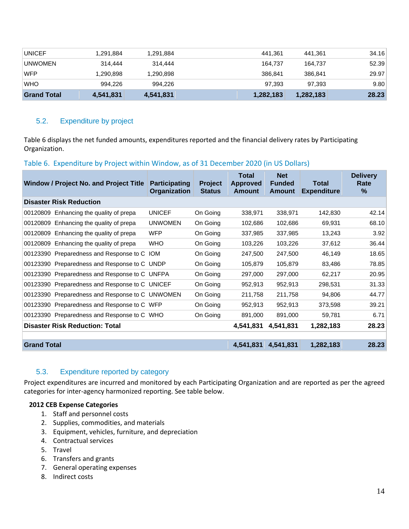| <b>UNICEF</b>      | 1,291,884 | 1,291,884 | 441.361   | 441.361   | 34.16 |
|--------------------|-----------|-----------|-----------|-----------|-------|
| <b>UNWOMEN</b>     | 314,444   | 314,444   | 164.737   | 164.737   | 52.39 |
| <b>WFP</b>         | 1,290,898 | 1,290,898 | 386.841   | 386.841   | 29.97 |
| <b>WHO</b>         | 994.226   | 994.226   | 97,393    | 97.393    | 9.80  |
| <b>Grand Total</b> | 4,541,831 | 4,541,831 | 1,282,183 | 1,282,183 | 28.23 |

#### 5.2. Expenditure by project

Table 6 displays the net funded amounts, expenditures reported and the financial delivery rates by Participating Organization.

#### <span id="page-13-0"></span>Table 6. Expenditure by Project within Window, as of 31 December 2020 (in US Dollars)

| <b>Window / Project No. and Project Title</b>   | <b>Participating</b><br><b>Organization</b> | <b>Project</b><br><b>Status</b> | <b>Total</b><br><b>Approved</b><br>Amount | <b>Net</b><br><b>Funded</b><br>Amount | <b>Total</b><br><b>Expenditure</b> | <b>Delivery</b><br>Rate<br>% |
|-------------------------------------------------|---------------------------------------------|---------------------------------|-------------------------------------------|---------------------------------------|------------------------------------|------------------------------|
| <b>Disaster Risk Reduction</b>                  |                                             |                                 |                                           |                                       |                                    |                              |
| 00120809 Enhancing the quality of prepa         | <b>UNICEF</b>                               | On Going                        | 338,971                                   | 338,971                               | 142,830                            | 42.14                        |
| 00120809<br>Enhancing the quality of prepa      | <b>UNWOMEN</b>                              | On Going                        | 102,686                                   | 102,686                               | 69,931                             | 68.10                        |
| Enhancing the quality of prepa<br>00120809      | <b>WFP</b>                                  | On Going                        | 337,985                                   | 337,985                               | 13,243                             | 3.92                         |
| 00120809 Enhancing the quality of prepa         | <b>WHO</b>                                  | On Going                        | 103,226                                   | 103,226                               | 37,612                             | 36.44                        |
| 00123390 Preparedness and Response to C IOM     |                                             | On Going                        | 247,500                                   | 247,500                               | 46,149                             | 18.65                        |
| 00123390 Preparedness and Response to C UNDP    |                                             | On Going                        | 105,879                                   | 105,879                               | 83,486                             | 78.85                        |
| 00123390 Preparedness and Response to C UNFPA   |                                             | On Going                        | 297,000                                   | 297,000                               | 62,217                             | 20.95                        |
| 00123390 Preparedness and Response to C UNICEF  |                                             | On Going                        | 952,913                                   | 952,913                               | 298,531                            | 31.33                        |
| 00123390 Preparedness and Response to C UNWOMEN |                                             | On Going                        | 211,758                                   | 211,758                               | 94,806                             | 44.77                        |
| 00123390 Preparedness and Response to C WFP     |                                             | On Going                        | 952,913                                   | 952,913                               | 373,598                            | 39.21                        |
| 00123390 Preparedness and Response to C WHO     |                                             | On Going                        | 891,000                                   | 891,000                               | 59,781                             | 6.71                         |
| <b>Disaster Risk Reduction: Total</b>           |                                             |                                 | 4,541,831                                 | 4.541.831                             | 1,282,183                          | 28.23                        |
|                                                 |                                             |                                 |                                           |                                       |                                    |                              |
| <b>Grand Total</b>                              |                                             |                                 | 4,541,831                                 | 4,541,831                             | 1,282,183                          | 28.23                        |

#### 5.3. Expenditure reported by category

Project expenditures are incurred and monitored by each Participating Organization and are reported as per the agreed categories for inter-agency harmonized reporting. See table below.

#### **2012 CEB Expense Categories**

- 1. Staff and personnel costs
- 2. Supplies, commodities, and materials
- 3. Equipment, vehicles, furniture, and depreciation
- 4. Contractual services
- 5. Travel
- 6. Transfers and grants
- 7. General operating expenses
- 8. Indirect costs